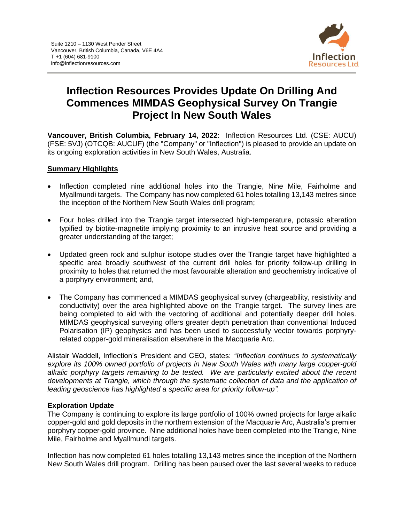

# **Inflection Resources Provides Update On Drilling And Commences MIMDAS Geophysical Survey On Trangie Project In New South Wales**

**Vancouver, British Columbia, February 14, 2022**: Inflection Resources Ltd. (CSE: AUCU) (FSE: 5VJ) (OTCQB: AUCUF) (the "Company" or "Inflection") is pleased to provide an update on its ongoing exploration activities in New South Wales, Australia.

#### **Summary Highlights**

- Inflection completed nine additional holes into the Trangie, Nine Mile, Fairholme and Myallmundi targets. The Company has now completed 61 holes totalling 13,143 metres since the inception of the Northern New South Wales drill program;
- Four holes drilled into the Trangie target intersected high-temperature, potassic alteration typified by biotite-magnetite implying proximity to an intrusive heat source and providing a greater understanding of the target;
- Updated green rock and sulphur isotope studies over the Trangie target have highlighted a specific area broadly southwest of the current drill holes for priority follow-up drilling in proximity to holes that returned the most favourable alteration and geochemistry indicative of a porphyry environment; and,
- The Company has commenced a MIMDAS geophysical survey (chargeability, resistivity and conductivity) over the area highlighted above on the Trangie target. The survey lines are being completed to aid with the vectoring of additional and potentially deeper drill holes. MIMDAS geophysical surveying offers greater depth penetration than conventional Induced Polarisation (IP) geophysics and has been used to successfully vector towards porphyryrelated copper-gold mineralisation elsewhere in the Macquarie Arc.

Alistair Waddell, Inflection's President and CEO, states: *"Inflection continues to systematically explore its 100% owned portfolio of projects in New South Wales with many large copper-gold alkalic porphyry targets remaining to be tested. We are particularly excited about the recent developments at Trangie, which through the systematic collection of data and the application of leading geoscience has highlighted a specific area for priority follow-up".*

## **Exploration Update**

The Company is continuing to explore its large portfolio of 100% owned projects for large alkalic copper-gold and gold deposits in the northern extension of the Macquarie Arc, Australia's premier porphyry copper-gold province. Nine additional holes have been completed into the Trangie, Nine Mile, Fairholme and Myallmundi targets.

Inflection has now completed 61 holes totalling 13,143 metres since the inception of the Northern New South Wales drill program. Drilling has been paused over the last several weeks to reduce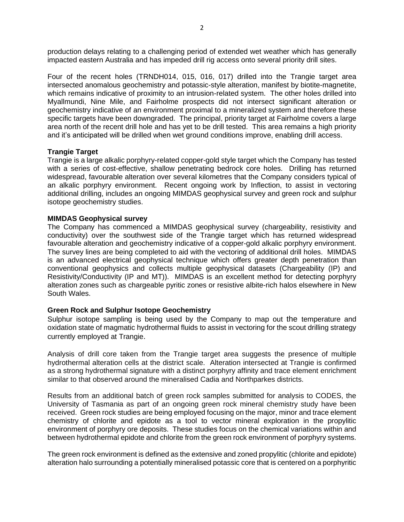production delays relating to a challenging period of extended wet weather which has generally impacted eastern Australia and has impeded drill rig access onto several priority drill sites.

Four of the recent holes (TRNDH014, 015, 016, 017) drilled into the Trangie target area intersected anomalous geochemistry and potassic-style alteration, manifest by biotite-magnetite, which remains indicative of proximity to an intrusion-related system. The other holes drilled into Myallmundi, Nine Mile, and Fairholme prospects did not intersect significant alteration or geochemistry indicative of an environment proximal to a mineralized system and therefore these specific targets have been downgraded. The principal, priority target at Fairholme covers a large area north of the recent drill hole and has yet to be drill tested. This area remains a high priority and it's anticipated will be drilled when wet ground conditions improve, enabling drill access.

#### **Trangie Target**

Trangie is a large alkalic porphyry-related copper-gold style target which the Company has tested with a series of cost-effective, shallow penetrating bedrock core holes. Drilling has returned widespread, favourable alteration over several kilometres that the Company considers typical of an alkalic porphyry environment. Recent ongoing work by Inflection, to assist in vectoring additional drilling, includes an ongoing MIMDAS geophysical survey and green rock and sulphur isotope geochemistry studies.

#### **MIMDAS Geophysical survey**

The Company has commenced a MIMDAS geophysical survey (chargeability, resistivity and conductivity) over the southwest side of the Trangie target which has returned widespread favourable alteration and geochemistry indicative of a copper-gold alkalic porphyry environment. The survey lines are being completed to aid with the vectoring of additional drill holes. MIMDAS is an advanced electrical geophysical technique which offers greater depth penetration than conventional geophysics and collects multiple geophysical datasets (Chargeability (IP) and Resistivity/Conductivity (IP and MT)). MIMDAS is an excellent method for detecting porphyry alteration zones such as chargeable pyritic zones or resistive albite-rich halos elsewhere in New South Wales.

## **Green Rock and Sulphur Isotope Geochemistry**

Sulphur isotope sampling is being used by the Company to map out the temperature and oxidation state of magmatic hydrothermal fluids to assist in vectoring for the scout drilling strategy currently employed at Trangie.

Analysis of drill core taken from the Trangie target area suggests the presence of multiple hydrothermal alteration cells at the district scale. Alteration intersected at Trangie is confirmed as a strong hydrothermal signature with a distinct porphyry affinity and trace element enrichment similar to that observed around the mineralised Cadia and Northparkes districts.

Results from an additional batch of green rock samples submitted for analysis to CODES, the University of Tasmania as part of an ongoing green rock mineral chemistry study have been received. Green rock studies are being employed focusing on the major, minor and trace element chemistry of chlorite and epidote as a tool to vector mineral exploration in the propylitic environment of porphyry ore deposits. These studies focus on the chemical variations within and between hydrothermal epidote and chlorite from the green rock environment of porphyry systems.

The green rock environment is defined as the extensive and zoned propylitic (chlorite and epidote) alteration halo surrounding a potentially mineralised potassic core that is centered on a porphyritic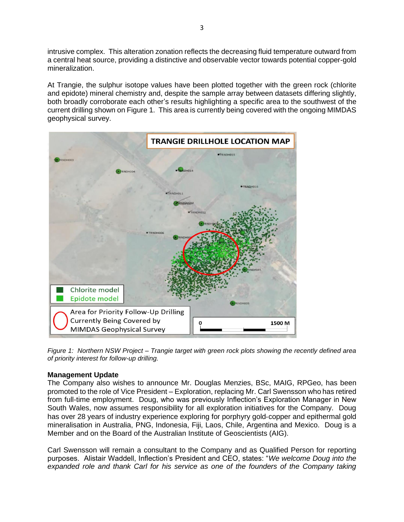intrusive complex. This alteration zonation reflects the decreasing fluid temperature outward from a central heat source, providing a distinctive and observable vector towards potential copper-gold mineralization.

At Trangie, the sulphur isotope values have been plotted together with the green rock (chlorite and epidote) mineral chemistry and, despite the sample array between datasets differing slightly, both broadly corroborate each other's results highlighting a specific area to the southwest of the current drilling shown on Figure 1. This area is currently being covered with the ongoing MIMDAS geophysical survey.



*Figure 1: Northern NSW Project – Trangie target with green rock plots showing the recently defined area of priority interest for follow-up drilling.*

## **Management Update**

The Company also wishes to announce Mr. Douglas Menzies, BSc, MAIG, RPGeo, has been promoted to the role of Vice President – Exploration, replacing Mr. Carl Swensson who has retired from full-time employment. Doug, who was previously Inflection's Exploration Manager in New South Wales, now assumes responsibility for all exploration initiatives for the Company. Doug has over 28 years of industry experience exploring for porphyry gold-copper and epithermal gold mineralisation in Australia, PNG, Indonesia, Fiji, Laos, Chile, Argentina and Mexico. Doug is a Member and on the Board of the Australian Institute of Geoscientists (AIG).

Carl Swensson will remain a consultant to the Company and as Qualified Person for reporting purposes. Alistair Waddell, Inflection's President and CEO, states: "*We welcome Doug into the*  expanded role and thank Carl for his service as one of the founders of the Company taking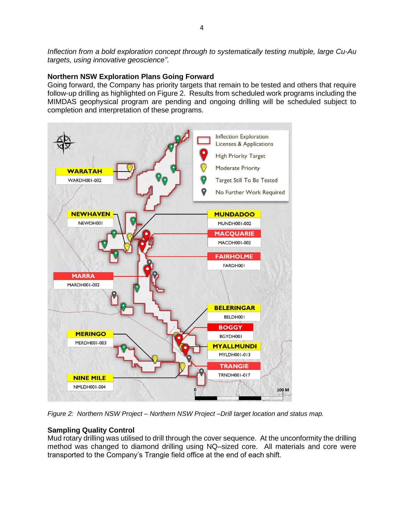*Inflection from a bold exploration concept through to systematically testing multiple, large Cu-Au targets, using innovative geoscience".*

## **Northern NSW Exploration Plans Going Forward**

Going forward, the Company has priority targets that remain to be tested and others that require follow-up drilling as highlighted on Figure 2. Results from scheduled work programs including the MIMDAS geophysical program are pending and ongoing drilling will be scheduled subject to completion and interpretation of these programs.



*Figure 2: Northern NSW Project – Northern NSW Project –Drill target location and status map.*

## **Sampling Quality Control**

Mud rotary drilling was utilised to drill through the cover sequence. At the unconformity the drilling method was changed to diamond drilling using NQ–sized core. All materials and core were transported to the Company's Trangie field office at the end of each shift.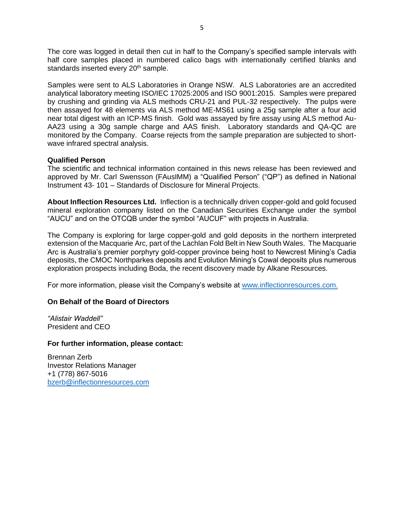The core was logged in detail then cut in half to the Company's specified sample intervals with half core samples placed in numbered calico bags with internationally certified blanks and standards inserted every 20<sup>th</sup> sample.

Samples were sent to ALS Laboratories in Orange NSW. ALS Laboratories are an accredited analytical laboratory meeting ISO/IEC 17025:2005 and ISO 9001:2015. Samples were prepared by crushing and grinding via ALS methods CRU-21 and PUL-32 respectively. The pulps were then assayed for 48 elements via ALS method ME-MS61 using a 25g sample after a four acid near total digest with an ICP-MS finish. Gold was assayed by fire assay using ALS method Au-AA23 using a 30g sample charge and AAS finish. Laboratory standards and QA-QC are monitored by the Company. Coarse rejects from the sample preparation are subjected to shortwave infrared spectral analysis.

#### **Qualified Person**

The scientific and technical information contained in this news release has been reviewed and approved by Mr. Carl Swensson (FAusIMM) a "Qualified Person" ("QP") as defined in National Instrument 43- 101 – Standards of Disclosure for Mineral Projects.

**About Inflection Resources Ltd.** Inflection is a technically driven copper-gold and gold focused mineral exploration company listed on the Canadian Securities Exchange under the symbol "AUCU" and on the OTCQB under the symbol "AUCUF" with projects in Australia.

The Company is exploring for large copper-gold and gold deposits in the northern interpreted extension of the Macquarie Arc, part of the Lachlan Fold Belt in New South Wales. The Macquarie Arc is Australia's premier porphyry gold-copper province being host to Newcrest Mining's Cadia deposits, the CMOC Northparkes deposits and Evolution Mining's Cowal deposits plus numerous exploration prospects including Boda, the recent discovery made by Alkane Resources.

For more information, please visit the Company's website at [www.inflectionresources.com.](http://www.inflectionresources.com/)

## **On Behalf of the Board of Directors**

*"Alistair Waddell"* President and CEO

#### **For further information, please contact:**

Brennan Zerb Investor Relations Manager +1 (778) 867-5016 [bzerb@inflectionresources.com](mailto:bzerb@inflectionresources.com)